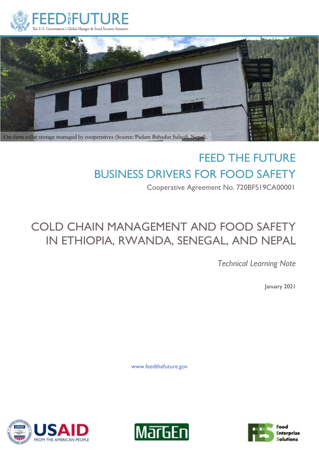



# FEED THE FUTURE BUSINESS DRIVERS FOR FOOD SAFETY

Cooperative Agreement No. 720BFS19CA00001

# COLD CHAIN MANAGEMENT AND FOOD SAFETY IN ETHIOPIA, RWANDA, SENEGAL, AND NEPAL

*Technical Learning Note*

January 2021

www.feedthefuture.gov





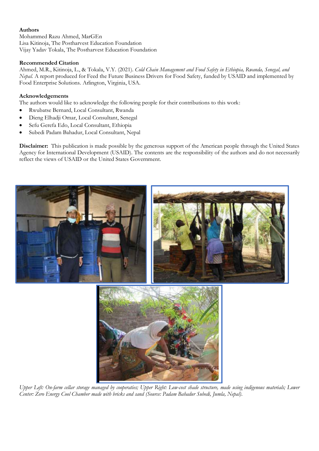#### **Authors**

Mohammed Razu Ahmed, MarGEn Lisa Kitinoja, The Postharvest Education Foundation Vijay Yadav Tokala, The Postharvest Education Foundation

#### **Recommended Citation**

Ahmed, M.R., Kitinoja, L., & Tokala, V.Y. (2021). *Cold Chain Management and Food Safety in Ethiopia, Rwanda, Senegal, and Nepal.* A report produced for Feed the Future Business Drivers for Food Safety, funded by USAID and implemented by Food Enterprise Solutions. Arlington, Virginia, USA.

#### **Acknowledgements**

The authors would like to acknowledge the following people for their contributions to this work:

- Rwubatse Bernard, Local Consultant, Rwanda
- Dieng Elhadji Omar, Local Consultant, Senegal
- Sefu Gerefa Edo, Local Consultant, Ethiopia
- Subedi Padam Bahadur, Local Consultant, Nepal

**Disclaimer:** This publication is made possible by the generous support of the American people through the United States Agency for International Development (USAID). The contents are the responsibility of the authors and do not necessarily reflect the views of USAID or the United States Government.



*Upper Left: On-farm cellar storage managed by cooperaties; Upper Right: Low-cost shade structure, made using indigenous materials; Lower Center: Zero Energy Cool Chamber made with bricks and sand (Source: Padam Bahadur Subedi, Jumla, Nepal).*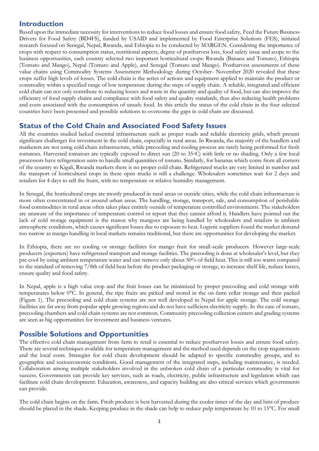### **Introduction**

Based upon the immediate necessity for interventions to reduce food losses and ensure food safety, Feed the Future Business Drivers for Food Safety (BD4FS), funded by USAID and implemented by Food Enterprise Solutions (FES), initiated research focused on Senegal, Nepal, Rwanda, and Ethiopia to be conducted by MARGEN. Considering the importance of crops with respect to consumption status, nutritional aspects, degree of postharvest loss, food safety issue and scope to the business opportunities, each country selected two important horticultural crops: Rwanda (Banana and Tomato), Ethiopia (Tomato and Mango), Nepal (Tomato and Apple), and Senegal (Tomato and Mango). Postharvest assessments of these value chains using Commodity Systems Assessment Methodology during October- November 2020 revealed that these crops suffer high levels of losses. The cold chain is the series of actions and equipment applied to maintain the product or commodity within a specified range of low temperature during the steps of supply chain. A reliable, integrated and efficient cold chain can not only contribute to reducing losses and waste in the quantity and quality of food, but can also improve the efficiency of food supply chains and compliance with food safety and quality standards, thus also reducing health problems and costs associated with the consumption of unsafe food. In this article the status of the cold chain in the four selected countries have been presented and possible solutions to overcome the gaps in cold chain are discussed.

## **Status of the Cold Chain and Associated Food Safety Issues**

All the countries studied lacked essential infrastructure such as proper roads and reliable electricity grids, which present significant challenges for investment in the cold chain, especially in rural areas. In Rwanda, the majority of the handlers and marketers are not using cold chain infrastructure, while precooling and cooling process are rarely being performed for fresh tomatoes. Harvested tomatoes are typically exposed to direct sun (20 to 35°C) with little or no shading. Only a few local processors have refrigeration units to handle small quantities of tomato. Similarly, for bananas which come from all corners of the country to Kigali, Rwanda markets there is no proper cold chain. Refrigerated trucks are very limited in number and the transport of horticultural crops in these open trucks is still a challenge. Wholesalers sometimes wait for 2 days and retailers for 4 days to sell the fruits, with no temperature or relative humidity management.

In Senegal, the horticultural crops are mostly produced in rural areas or outside cities, while the cold chain infrastructure is more often concentrated in or around urban areas. The handling, storage, transport, sale, and consumption of perishable food commodities in rural areas often takes place entirely outside of temperature controlled environments. The stakeholders are unaware of the importance of temperature control or report that they cannot afford it. Handlers have pointed out the lack of cold storage equipment is the reason why mangoes are being handled by wholesalers and retailers in ambient atmospheric conditions, which causes significant losses due to exposure to heat. Logistic suppliers found the market demand too narrow as mango handling in local markets remains traditional, but there are opportunities for developing the market.

In Ethiopia, there are no cooling or storage facilities for mango fruit for small-scale producers. However large-scale producers (exporters) have refrigerated transport and storage facilities. The precooling is done at wholesaler's level, but they pre-cool by using ambient temperature water and can remove only about 50% of field heat. This is still too warm compared to the standard of removing 7/8th of field heat before the product packaging or storage, to increase shelf life, reduce losses, ensure quality and food safety.

In Nepal, apple is a high value crop and the fruit losses can be minimized by proper precooling and cold storage with temperatures below 0°C. In general, the ripe fruits are picked and stored in the on-farm cellar storage and then packed (Figure 1). The precooling and cold chain systems are not well developed in Nepal for apple storage. The cold storage facilities are far away from popular apple growing regions and do not have sufficient electricity supply. In the case of tomato, precooling chambers and cold chain systems are not common. Community precooling collection centers and grading systems are seen as big opportunities for investment and business ventures.

# **Possible Solutions and Opportunities**

The effective cold chain management from farm to retail is essential to reduce postharvest losses and ensure food safety. There are several techniques available for temperature management and the method used depends on the crop requirements and the local costs. Strategies for cold chain development should be adapted to specific commodity groups, and to geographic and socioeconomic conditions. Good management of the integrated steps, including maintenance, is needed. Collaboration among multiple stakeholders involved in the unbroken cold chain of a particular commodity is vital for success. Governments can provide key services, such as roads, electricity, public infrastructure and legislation which can facilitate cold chain development. Education, awareness, and capacity building are also critical services which governments can provide.

The cold chain begins on the farm. Fresh produce is best harvested during the cooler times of the day and bins of produce should be placed in the shade. Keeping produce in the shade can help to reduce pulp temperature by 10 to 15°C. For small